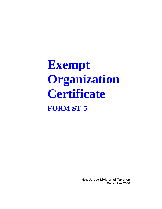# **Exempt Organization Certificate FORM ST-5**

**New Jersey Division of Taxation December 2000**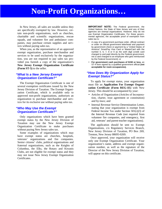## **Non-Profit Organizations…**

In New Jersey, all sales are taxable unless they are specifically exempted by law. However, certain non-profit organizations, such as churches, charitable and scientific organizations, rescue squads, and volunteer fire and ambulance companies, may purchase certain supplies and services without paying sales tax.

When you, as the representative of an approved exempt organization, purchase merchandise and services to be used exclusively by the organization, you are not required to pay sales tax provided you furnish a copy of the organization's **New Jersey Exempt Organization Certificate (Form ST-5)** to the seller.

### *"What Is a New Jersey Exempt Organization Certificate?"*

The Exempt Organization Certificate is one of several exemption certificates issued by the New Jersey Division of Taxation. The Exempt Organization Certificate, which is available only to approved non-profit organizations, authorizes an organization to purchase merchandise and services for its exclusive use without paying sales tax.

### *"Who May Use the Exempt Organization Certificate?"*

Only organizations which have been granted exempt status by the New Jersey Division of Taxation may use the New Jersey Exempt Organization Certificate to make purchases without paying New Jersey sales tax.

Some examples of organizations which may have exempt status are churches, hospitals, veterans' organizations and fire companies. Senior citizens' clubs, political organizations and fraternal organizations, such as the Knights of Columbus, the Elks, the Rotary and Kiwanis Clubs, are not eligible for exempt status and they may not issue New Jersey Exempt Organization Certificates.

**IMPORTANT NOTE:** The Federal government, the United Nations, the State of New Jersey and any of their agencies are exempt organizations. However, they do not use Exempt Organization Certificates. For these governmental agencies, the acceptable proof of exemption from sales tax is:

- A copy of a government purchase order, official contract or order on official government letterhead and payment by government check or payment by a "United States of America" SmartPay Visa Card or MasterCard with the number 0, 6, 7, 8 or 9 as the sixth digit (credit card charged to and paid directly by the Federal government, not a card charged to an employee who gets reimbursed by the Federal Government); or
- **For government cash purchases of \$150 or less,** an ST-4 form signed by a qualified government official **(not acceptable for room occupancies).**

### *"How Does My Organization Apply for Exempt Status?"*

To apply for exempt status, your organization must file an **Application For Exempt Organization Certificate (Form REG-1E)** with New Jersey. This should be accompanied by your:

- Articles of Organization (Articles of Incorporation, charter, trust agreement or constitution) and by-laws; and
- Internal Revenue Service Determination Letter, stating that your organization is exempt from Federal Income Tax under Section 501(c)(3) of the Internal Revenue Code (not required from volunteer fire companies, and emergency, first aid, veterans' and parent-teacher organizations).

The application should be sent to: Exempt Organizations, c/o Regulatory Services Branch, New Jersey Division of Taxation, PO Box 269, Trenton, New Jersey 08695-0269.

Once approved, your organization will receive only one Exempt Organization Certificate. Your organization's name, address and exempt organization number, as well as the signature of the Director of the New Jersey Division of Taxation, will appear on this certificate.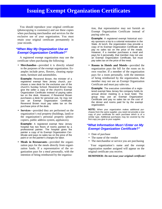### **Issuing Exempt Organization Certificates**

You should reproduce your original certificate (photocopying is customary) and use these copies when purchasing merchandise and services for the exclusive use of your organization. You must retain your original certificate permanently in your records.

### *"When May My Organization Use an Exempt Organization Certificate?"*

A registered exempt organization may use the certificate when purchasing the following:

• **Merchandise**—provided it is directly related to the purposes of the exempt organization. Examples include pews, flowers, cleaning equipment, furniture and automobiles.

**Example:** Reverend Brown, the minister of a registered exempt New Jersey church, purchases a new desk for the exclusive use of the church's Sunday School. Reverend Brown may give the seller a copy of the church's Exempt Organization Certificate instead of paying sales tax on the desk. However, if Reverend Brown purchases a desk for personal use, he may not use an Exempt Organization Certificate. Reverend Brown must pay sales tax on the purchase price of the desk.

• **Services**—provided they are performed on the organization's real property (buildings, land) or the organization's personal property (photocopiers, public address system, appliances).

**Example:** A registered exempt New Jersey hospital has two floors of rooms painted by a professional painter. The hospital gives the painter a copy of its Exempt Organization Certificate and pays no sales tax on the price of the paint or on the painter's charges for labor.

• **Meals in Restaurants**—provided the organization pays for the meals directly from organization funds. If a representative of the organization pays for a meal personally, with the intention of being reimbursed by the organization, that representative may not furnish an Exempt Organization Certificate instead of paying sales tax.

**Example:** A registered exempt historical society sponsors a trip to a colonial restoration in the State. At lunch, the organization may provide a copy of its Exempt Organization Certificate and pay no sales tax on the price of the meals. However, if a member purchases a meal and pays for it personally, that member may not use an Exempt Organization Certificate, but must pay sales tax on the price of the meal.

• **Rooms in Hotels and Motels**—provided the organization pays the bill for the room on its own voucher. If a member of the organization pays for a room personally, with the intention of being reimbursed by the organization, that member may not use an Exempt Organization Certificate and must pay sales tax.

**Example:** The executive committee of a registered exempt New Jersey fire company holds its annual dinner meeting in a local hotel. The group may use an Exempt Organization Certificate and pay no sales tax on the cost of the dinner and rooms paid for by the exempt organization.

**NOTE:** When your organization makes additional purchases from the same supplier, you need not provide a new copy of your certificate for each purchase which is of a similar type. Additional purchases may be covered by the first copy you give to your supplier.

### *"What Information Must I Enter on My Exempt Organization Certificate?"*

- Date of purchase
- The name of the vendor
- The merchandise or service you are purchasing

Your organization's name and the exempt organization number assigned will appear on the original certificate you receive.

**REMINDER:** *Do not issue your original certificate!*